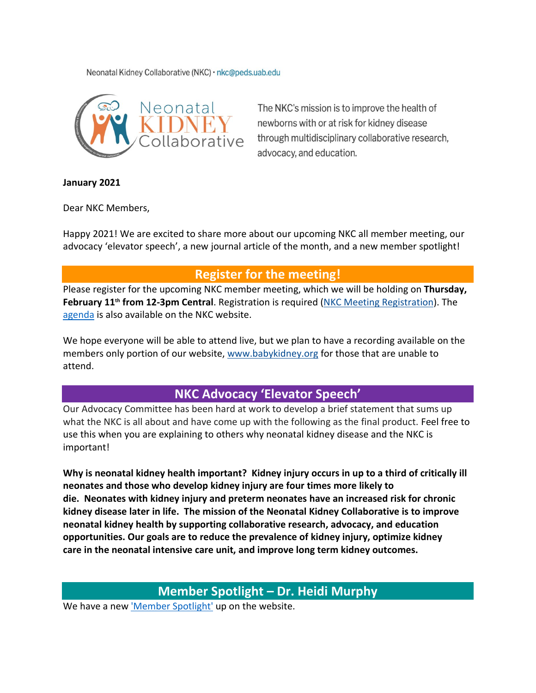Neonatal Kidney Collaborative (NKC) · nkc@peds.uab.edu



The NKC's mission is to improve the health of newborns with or at risk for kidney disease through multidisciplinary collaborative research, advocacy, and education.

#### **January 2021**

Dear NKC Members,

Happy 2021! We are excited to share more about our upcoming NKC all member meeting, our advocacy 'elevator speech', a new journal article of the month, and a new member spotlight!

## **Register for the meeting!**

Please register for the upcoming NKC member meeting, which we will be holding on **Thursday, February 11th from 12-3pm Central**. Registration is required [\(NKC Meeting Registration\)](https://uab.zoom.us/meeting/register/tJErde2grjIvE9GeKq-kDNBdjrSD1VAHJUB_). The [agenda](http://www.babykidney.org/sites/default/files/nkc/pdfs/2021/NKC-Meeting-Agenda-for-website.pdf) is also available on the NKC website.

We hope everyone will be able to attend live, but we plan to have a recording available on the members only portion of our website, [www.babykidney.org](http://www.babykidney.org/) for those that are unable to attend.

### **NKC Advocacy 'Elevator Speech'**

Our Advocacy Committee has been hard at work to develop a brief statement that sums up what the NKC is all about and have come up with the following as the final product. Feel free to use this when you are explaining to others why neonatal kidney disease and the NKC is important!

**Why is neonatal kidney health important? Kidney injury occurs in up to a third of critically ill neonates and those who develop kidney injury are four times more likely to die. Neonates with kidney injury and preterm neonates have an increased risk for chronic kidney disease later in life. The mission of the Neonatal Kidney Collaborative is to improve neonatal kidney health by supporting collaborative research, advocacy, and education opportunities. Our goals are to reduce the prevalence of kidney injury, optimize kidney care in the neonatal intensive care unit, and improve long term kidney outcomes.**

## **Member Spotlight – Dr. Heidi Murphy**

We have a new ['Member Spotlight'](https://www.babykidney.org/spotlights/heidi-murphy) up on the website.